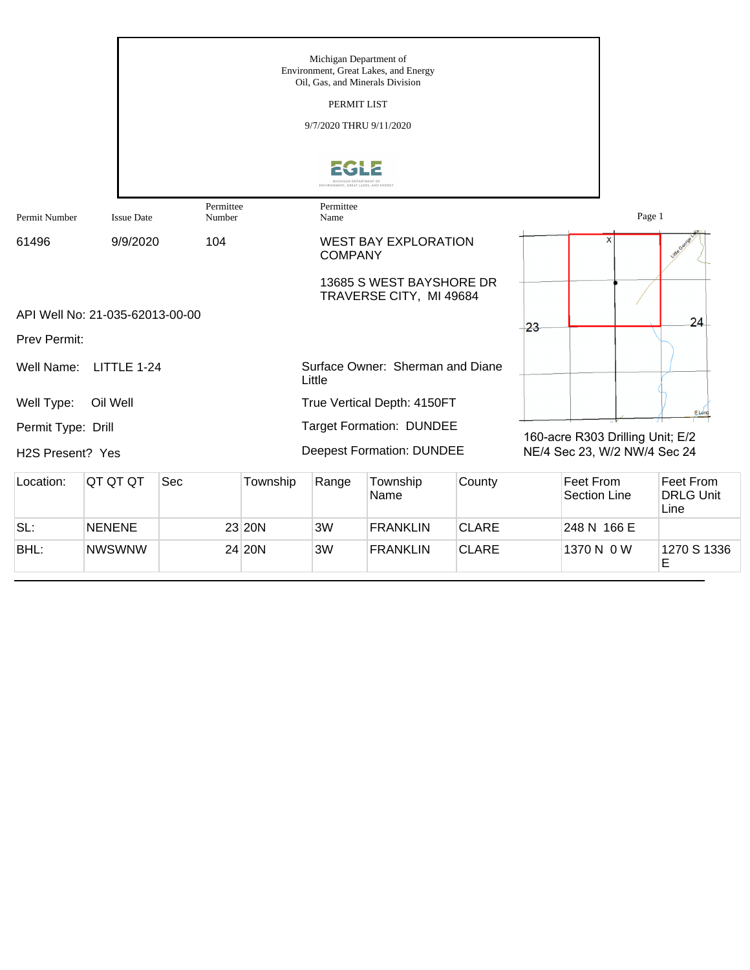|                    |                                 |                     |          | Michigan Department of<br>Oil, Gas, and Minerals Division<br>PERMIT LIST<br>9/7/2020 THRU 9/11/2020<br>ONMENT, GREAT LAKES, AND ENERG | Environment, Great Lakes, and Energy                |              |       |                                         |        |                                       |
|--------------------|---------------------------------|---------------------|----------|---------------------------------------------------------------------------------------------------------------------------------------|-----------------------------------------------------|--------------|-------|-----------------------------------------|--------|---------------------------------------|
| Permit Number      | <b>Issue Date</b>               | Permittee<br>Number |          | Permittee<br>Name                                                                                                                     |                                                     |              |       |                                         | Page 1 |                                       |
| 61496              | 9/9/2020                        | 104                 |          | <b>COMPANY</b>                                                                                                                        | <b>WEST BAY EXPLORATION</b>                         |              |       | X                                       |        |                                       |
|                    |                                 |                     |          |                                                                                                                                       | 13685 S WEST BAYSHORE DR<br>TRAVERSE CITY, MI 49684 |              |       |                                         |        |                                       |
|                    | API Well No: 21-035-62013-00-00 |                     |          |                                                                                                                                       |                                                     |              | $-23$ |                                         |        | 24                                    |
| Prev Permit:       |                                 |                     |          |                                                                                                                                       |                                                     |              |       |                                         |        |                                       |
| Well Name:         | LITTLE 1-24                     |                     |          | Little                                                                                                                                | Surface Owner: Sherman and Diane                    |              |       |                                         |        |                                       |
| Well Type:         | Oil Well                        |                     |          |                                                                                                                                       | True Vertical Depth: 4150FT                         |              |       |                                         |        | ELong                                 |
| Permit Type: Drill |                                 |                     |          |                                                                                                                                       | <b>Target Formation: DUNDEE</b>                     |              |       | 160-acre R303 Drilling Unit; E/2        |        |                                       |
| H2S Present? Yes   |                                 |                     |          |                                                                                                                                       | <b>Deepest Formation: DUNDEE</b>                    |              |       | NE/4 Sec 23, W/2 NW/4 Sec 24            |        |                                       |
| Location:          | QT QT QT                        | Sec                 | Township | Range                                                                                                                                 | Township<br>Name                                    | County       |       | <b>Feet From</b><br><b>Section Line</b> |        | Feet From<br><b>DRLG Unit</b><br>Line |
| SL:                | <b>NENENE</b>                   |                     | 23 20N   | 3W                                                                                                                                    | <b>FRANKLIN</b>                                     | <b>CLARE</b> |       | 248 N 166 E                             |        |                                       |
| BHL:               | <b>NWSWNW</b>                   |                     | 24 20N   | 3W                                                                                                                                    | <b>FRANKLIN</b>                                     | <b>CLARE</b> |       | 1370 N 0 W                              |        | 1270 S 1336<br>E                      |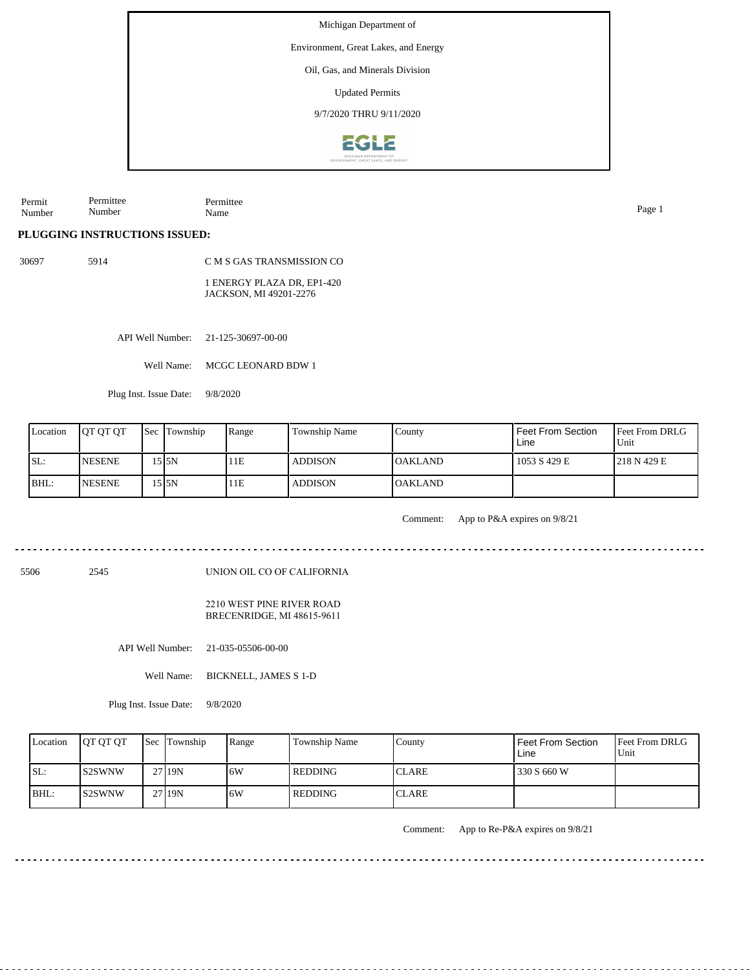Environment, Great Lakes, and Energy

Oil, Gas, and Minerals Division

Updated Permits

9/7/2020 THRU 9/11/2020



Permit Number Permittee Number Permittee Name Page 1

**PLUGGING INSTRUCTIONS ISSUED:**

30697 5914

C M S GAS TRANSMISSION CO

1 ENERGY PLAZA DR, EP1-420 JACKSON, MI 49201-2276

API Well Number: 21-125-30697-00-00

Well Name: MCGC LEONARD BDW 1

Plug Inst. Issue Date: 9/8/2020

| Location | <b>OT OT OT</b> | Sec Township | Range | <b>Township Name</b> | County           | l Feet From Section<br>Line | <b>Feet From DRLG</b><br>l Unit |
|----------|-----------------|--------------|-------|----------------------|------------------|-----------------------------|---------------------------------|
| ISL:     | <b>NESENE</b>   | 15 I5N       | 11E   | <b>ADDISON</b>       | <b>IOAKLAND</b>  | 1053 S 429 E                | 1218 N 429 E                    |
| IBHL:    | <b>NESENE</b>   | 15 I5N       | 11E   | <b>ADDISON</b>       | <b>I</b> OAKLAND |                             |                                 |

Comment: App to P&A expires on 9/8/21

5506 2545

UNION OIL CO OF CALIFORNIA

2210 WEST PINE RIVER ROAD BRECENRIDGE, MI 48615-9611

API Well Number: 21-035-05506-00-00

Well Name: BICKNELL, JAMES S 1-D

Plug Inst. Issue Date: 9/8/2020

| Location | <b>IOT OT OT</b> | Sec Township | Range | Township Name | County       | Feet From Section<br>Line | <b>Feet From DRLG</b><br>Unit |
|----------|------------------|--------------|-------|---------------|--------------|---------------------------|-------------------------------|
| SL:      | IS2SWNW          | 27 19N       | 6W    | l REDDING     | <b>CLARE</b> | 330 S 660 W               |                               |
| $IBHL$ : | IS2SWNW          | 27 19N       | 6W    | l REDDING     | <b>CLARE</b> |                           |                               |

Comment: App to Re-P&A expires on 9/8/21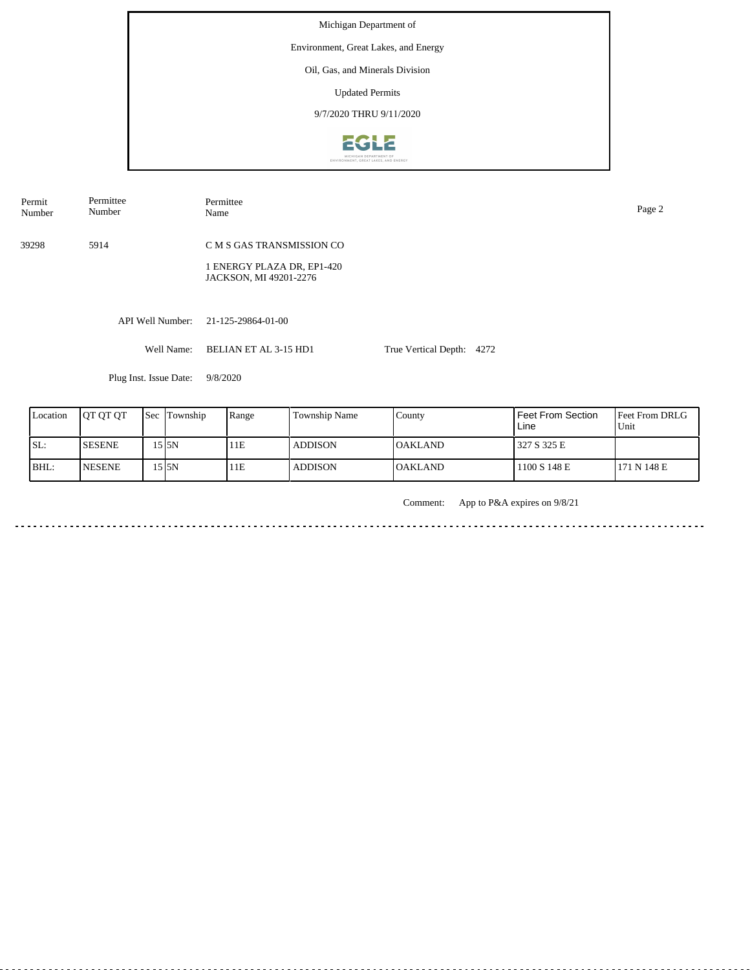Michigan Department of Environment, Great Lakes, and Energy Oil, Gas, and Minerals Division Updated Permits 9/7/2020 THRU 9/11/2020EGLE

| Permit<br>Number | Permittee<br>Number    | Permittee<br>Name                                                                 |                           | Page 2 |
|------------------|------------------------|-----------------------------------------------------------------------------------|---------------------------|--------|
| 39298            | 5914                   | C M S GAS TRANSMISSION CO<br>1 ENERGY PLAZA DR, EP1-420<br>JACKSON, MI 49201-2276 |                           |        |
|                  | API Well Number:       | 21-125-29864-01-00                                                                |                           |        |
|                  | Well Name:             | BELIAN ET AL 3-15 HD1                                                             | True Vertical Depth: 4272 |        |
|                  | Plug Inst. Issue Date: | 9/8/2020                                                                          |                           |        |

| Location | <b>IOT OT OT</b> | Sec | Township | Range | Township Name  | County         | Feet From Section<br>Line | <b>IFeet From DRLG</b><br>Unit |
|----------|------------------|-----|----------|-------|----------------|----------------|---------------------------|--------------------------------|
| SL:      | <b>SESENE</b>    |     | 15 I5N   | 11E   | <b>ADDISON</b> | IOAKLAND-      | 327 S 325 E               |                                |
| BHL:     | <b>NESENE</b>    |     | .5 I5N   | 11E   | <b>ADDISON</b> | <b>OAKLAND</b> | 1100 S 148 E              | 171 N 148 E                    |

Comment: App to P&A expires on 9/8/21

.................................... a dia a dia a <u>. . . . . . . . . . . . . . . . . .</u> <u>. . . . . . . . .</u>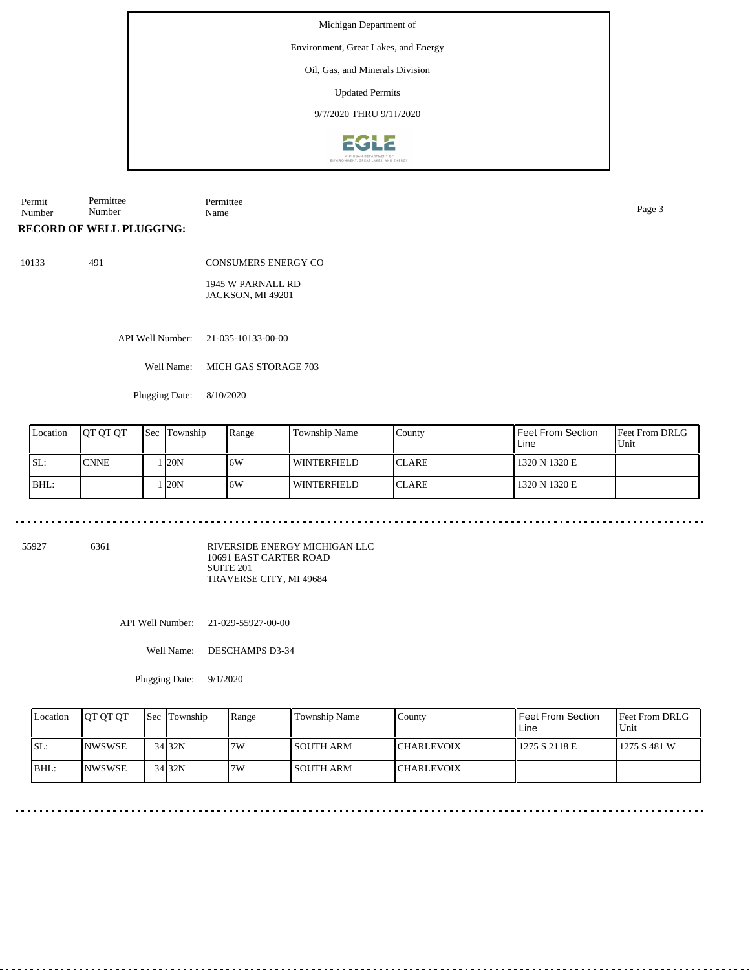Environment, Great Lakes, and Energy

#### Oil, Gas, and Minerals Division

Updated Permits

9/7/2020 THRU 9/11/2020



Permit Number Permittee Number Permittee Name Page 3

**RECORD OF WELL PLUGGING:**

10133 491

CONSUMERS ENERGY CO

1945 W PARNALL RD JACKSON, MI 49201

API Well Number: 21-035-10133-00-00

Well Name: MICH GAS STORAGE 703

Plugging Date: 8/10/2020

| Location | <b>IOT OT OT</b> | <b>Sec Township</b> | Range | <b>Township Name</b> | County        | Feet From Section<br>Line | Feet From DRLG<br>Unit |
|----------|------------------|---------------------|-------|----------------------|---------------|---------------------------|------------------------|
| SL:      | <b>CNNE</b>      | 120N                | 16W   | WINTERFIELD          | <b>ICLARE</b> | 1320 N 1320 E             |                        |
| BHL:     |                  | 120N                | 16W   | WINTERFIELD          | <b>ICLARE</b> | 1320 N 1320 E             |                        |

55927 6361

RIVERSIDE ENERGY MICHIGAN LLC 10691 EAST CARTER ROAD SUITE 201 TRAVERSE CITY, MI 49684

API Well Number: 21-029-55927-00-00

Well Name: DESCHAMPS D3-34

Plugging Date: 9/1/2020

| Location | <b>IOT OT OT</b> | Sec Township | Range | Township Name    | County            | Feet From Section<br>Line | <b>Feet From DRLG</b><br>Unit |
|----------|------------------|--------------|-------|------------------|-------------------|---------------------------|-------------------------------|
| ISL:     | <b>NWSWSE</b>    | 34 32N       | 7W    | <b>SOUTH ARM</b> | <b>CHARLEVOIX</b> | 1275 S 2118 E             | 1275 S 481 W                  |
| $IBHL$ : | <b>INWSWSE</b>   | 34 32N       | 7W    | <b>SOUTH ARM</b> | <b>CHARLEVOIX</b> |                           |                               |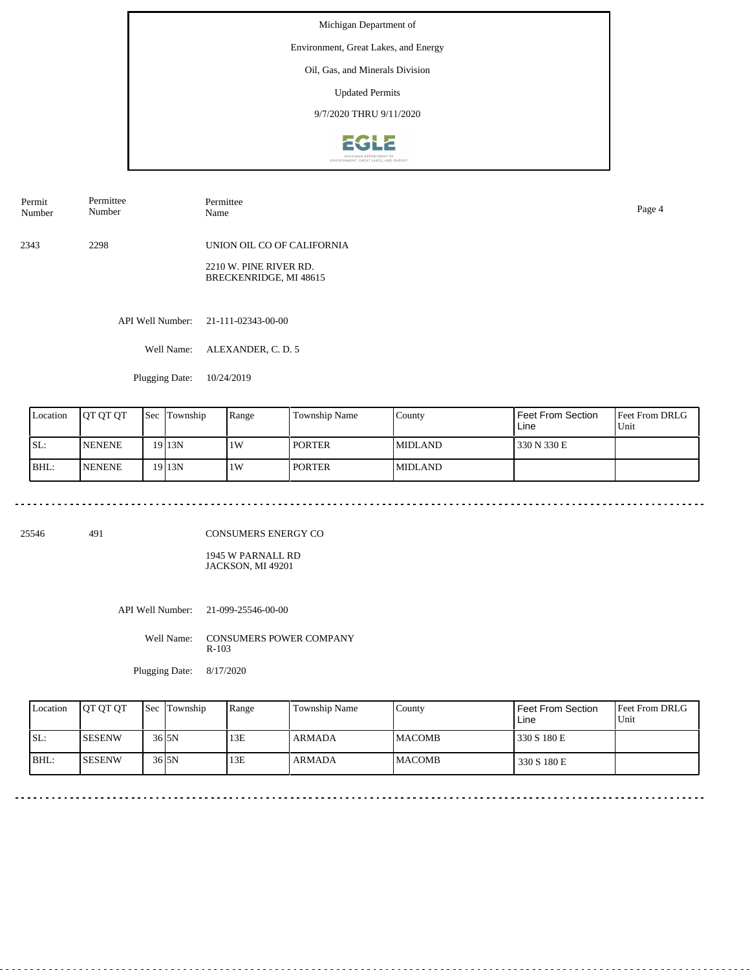Environment, Great Lakes, and Energy

### Oil, Gas, and Minerals Division

Updated Permits

9/7/2020 THRU 9/11/2020



| Permit<br>Number | Permittee<br>Number | Permittee<br>Name                                | Page 4 |
|------------------|---------------------|--------------------------------------------------|--------|
| 2343             | 2298                | UNION OIL CO OF CALIFORNIA                       |        |
|                  |                     | 2210 W. PINE RIVER RD.<br>BRECKENRIDGE, MI 48615 |        |
|                  |                     |                                                  |        |

API Well Number: 21-111-02343-00-00

Well Name: ALEXANDER, C. D. 5

Plugging Date: 10/24/2019

| Location | <b>IOT OT OT</b> | l Sec | Township | Range | <b>Township Name</b> | County          | Feet From Section<br>Line | <b>Feet From DRLG</b><br>Unit |
|----------|------------------|-------|----------|-------|----------------------|-----------------|---------------------------|-------------------------------|
| ISL:     | <b>INENENE</b>   |       | 19 13N   | 1W    | <b>PORTER</b>        | <b>IMIDLAND</b> | 330 N 330 E               |                               |
| BHL:     | <b>INENENE</b>   |       | 19 13N   | 1W    | <b>PORTER</b>        | <b>MIDLAND</b>  |                           |                               |

25546 491

CONSUMERS ENERGY CO

1945 W PARNALL RD JACKSON, MI 49201

API Well Number: 21-099-25546-00-00

Well Name: CONSUMERS POWER COMPANY R-103

Plugging Date: 8/17/2020

| Location | <b>OT OT OT</b> | <b>Sec Township</b>  | Range | Township Name | County         | Feet From Section<br>Line | <b>Feet From DRLG</b><br>Unit |
|----------|-----------------|----------------------|-------|---------------|----------------|---------------------------|-------------------------------|
| ISL:     | <b>ISESENW</b>  | $36$ <sub>5N</sub>   | 13E   | <b>ARMADA</b> | <b>IMACOMB</b> | 330 S 180 E               |                               |
| BHL:     | <b>ISESENW</b>  | $36$ <sub>J</sub> SN | 13E   | ARMADA        | <b>MACOMB</b>  | 330 S 180 E               |                               |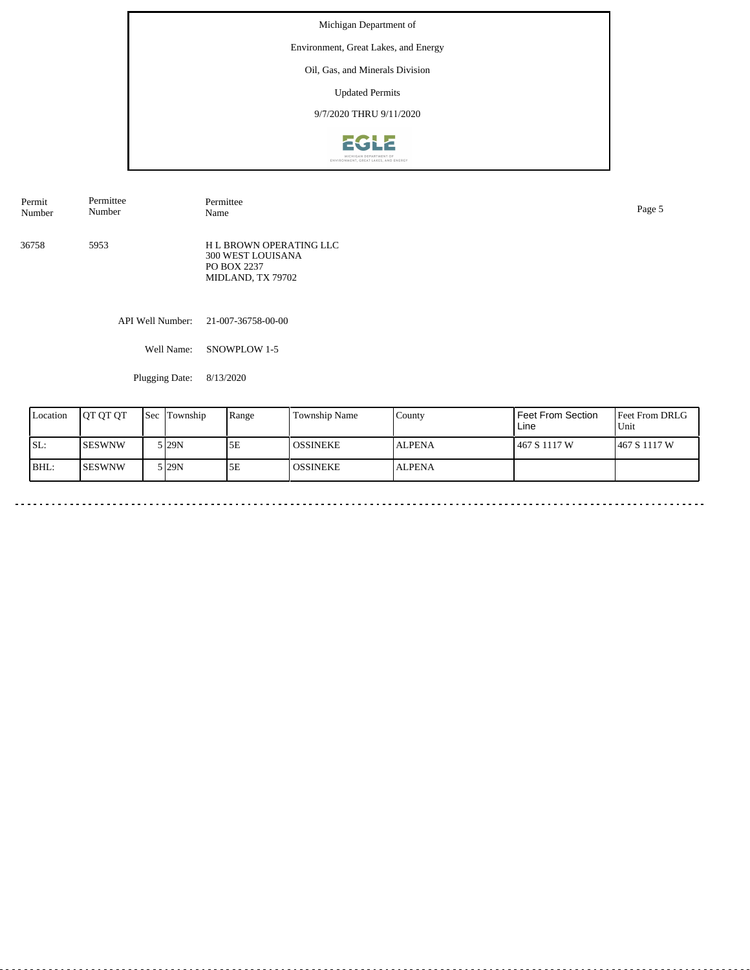Environment, Great Lakes, and Energy

## Oil, Gas, and Minerals Division

Updated Permits

# 9/7/2020 THRU 9/11/2020



| Permit<br>Number | Permittee<br>Number | Permittee<br>Name                                                                       | Page 5 |
|------------------|---------------------|-----------------------------------------------------------------------------------------|--------|
| 36758            | 5953                | <b>H L BROWN OPERATING LLC</b><br>300 WEST LOUISANA<br>PO BOX 2237<br>MIDLAND, TX 79702 |        |
|                  |                     | API Well Number: 21-007-36758-00-00                                                     |        |

Well Name: SNOWPLOW 1-5

Plugging Date: 8/13/2020

| Location | <b>IOT OT OT</b> | Sec | Township          | Range | <b>Township Name</b> | County        | Feet From Section<br>Line | <b>Feet From DRLG</b><br>Unit |
|----------|------------------|-----|-------------------|-------|----------------------|---------------|---------------------------|-------------------------------|
| ISL:     | ISESWNW          |     | 5 29N             | 5E    | I OSSINEKE.          | <b>ALPENA</b> | 467 S 1117 W              | 1467 S 1117 W                 |
| BHL:     | ISESWNW          |     | 5 <sub>129N</sub> | 5E    | l OSSINEKE           | <b>ALPENA</b> |                           |                               |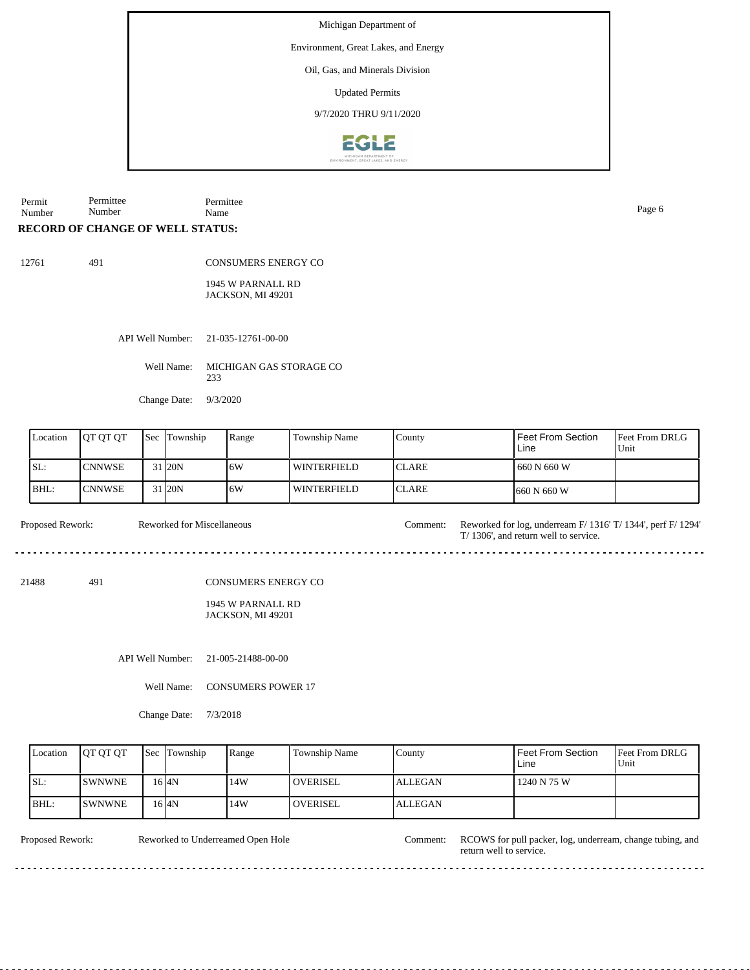Environment, Great Lakes, and Energy

Oil, Gas, and Minerals Division

Updated Permits

9/7/2020 THRU 9/11/2020



Permit Number Permittee Number Permittee Name Page 6

### **RECORD OF CHANGE OF WELL STATUS:**

491

|--|--|

CONSUMERS ENERGY CO

1945 W PARNALL RD JACKSON, MI 49201

API Well Number: 21-035-12761-00-00

Well Name: MICHIGAN GAS STORAGE CO 233

Change Date: 9/3/2020

| Location | <b>OT OT OT</b> | <b>Sec Township</b> | Range | Township Name | County        | Feet From Section<br>Line | <b>Feet From DRLG</b><br>'Unit |
|----------|-----------------|---------------------|-------|---------------|---------------|---------------------------|--------------------------------|
| ISL:     | <b>I</b> CNNWSE | 31 20N              | 16W   | l winterfield | <b>ICLARE</b> | 1 660 N 660 W             |                                |
| BHL:     | <b>ICNNWSE</b>  | 31 20N              | 16W   | l winterfield | <b>ICLARE</b> | 1660 N 660 W              |                                |

Proposed Rework: Reworked for Miscellaneous comment: Reworked for log, underream F/ 1316' T/ 1344', perf F/ 1294' Reworked for Miscellaneous Comment:

21488 491

CONSUMERS ENERGY CO

1945 W PARNALL RD JACKSON, MI 49201

API Well Number: 21-005-21488-00-00

Well Name: CONSUMERS POWER 17

Change Date: 7/3/2018

| Location | <b>IOT OT OT</b> | <b>Sec Township</b> | Range | Township Name   | County         | Feet From Section<br>Line | <b>IFeet From DRLG</b><br>Unit |
|----------|------------------|---------------------|-------|-----------------|----------------|---------------------------|--------------------------------|
| ISL:     | ISWNWNE          | 16 I4N              | 14W   | <b>OVERISEL</b> | <b>ALLEGAN</b> | 1240 N 75 W               |                                |
| BHL:     | <b>SWNWNE</b>    | 16 I4N              | 14W   | <b>OVERISEL</b> | <b>ALLEGAN</b> |                           |                                |

 $- - - - - -$ 

. . . . . . . . . . . . . . . . . .

Reworked to Underreamed Open Hole

Proposed Rework: Reworked to Underreamed Open Hole Comment: RCOWS for pull packer, log, underream, change tubing, and return well to service.

 $2.2.2.2.2.2.2$ 

<u>. . . . . . . . .</u>

 $\overline{a}$  .  $\overline{a}$ 

T/ 1306', and return well to service.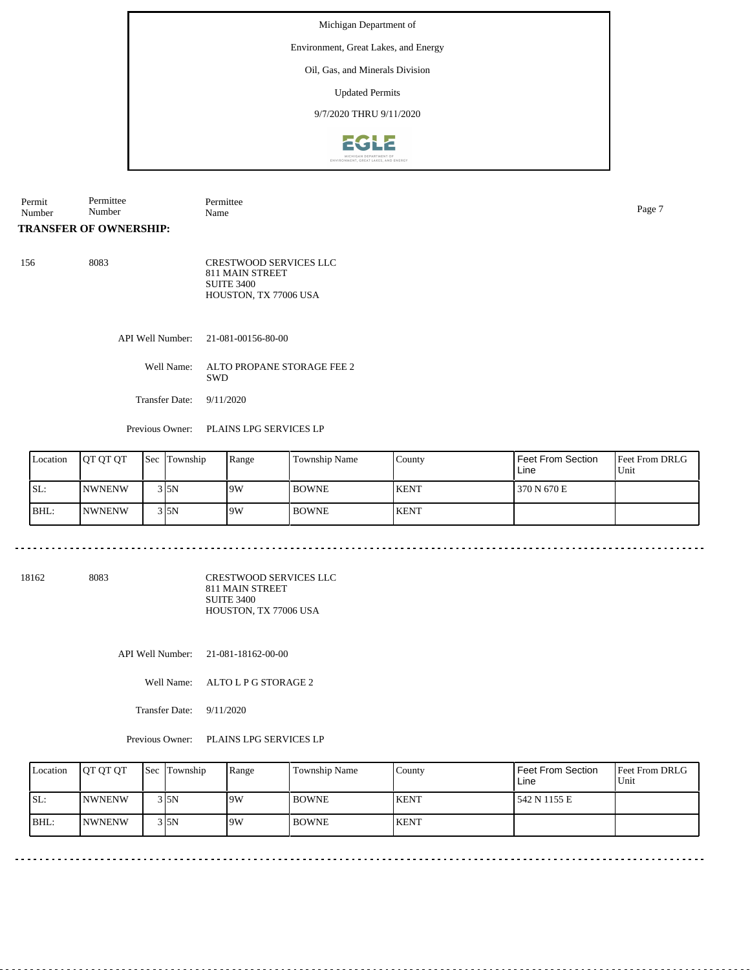Environment, Great Lakes, and Energy

### Oil, Gas, and Minerals Division

Updated Permits

## 9/7/2020 THRU 9/11/2020



| Permit | Permittee     | 100<br>m۱<br>. |      |
|--------|---------------|----------------|------|
| Number | . .<br>Number | Name           | Page |

### **TRANSFER OF OWNERSHIP:**

| 156 | 8083 | <b>CRESTWOOD SERVICES LLC</b> |
|-----|------|-------------------------------|
|     |      | 811 MAIN STREET               |
|     |      | <b>SUITE 3400</b>             |
|     |      | HOUSTON, TX 77006 USA         |

API Well Number: 21-081-00156-80-00

Well Name: ALTO PROPANE STORAGE FEE 2 SWD

Transfer Date: 9/11/2020

<u>. . . . . . .</u>

Previous Owner: PLAINS LPG SERVICES LP

| Location | <b>IOT OT OT</b> | Sec Township | Range | Township Name | County      | <b>Feet From Section</b><br>Line | <b>Feet From DRLG</b><br>Unit |
|----------|------------------|--------------|-------|---------------|-------------|----------------------------------|-------------------------------|
| SL:      | <b>INWNENW</b>   | 3 I 5 N      | 19W   | <b>BOWNE</b>  | <b>KENT</b> | 370 N 670 E                      |                               |
| BHL:     | <b>INWNENW</b>   | 3 I 5 N      | 19W   | <b>BOWNE</b>  | <b>KENT</b> |                                  |                               |

. . . . . . . . . . . . . . . . . . . .

18162 8083

CRESTWOOD SERVICES LLC 811 MAIN STREET SUITE 3400 HOUSTON, TX 77006 USA

API Well Number: 21-081-18162-00-00

Well Name: ALTO L P G STORAGE 2

Transfer Date: 9/11/2020

Previous Owner: PLAINS LPG SERVICES LP

| Location | <b>OT OT OT</b> | <b>Sec</b> Township | Range | Township Name | County       | l Feet From Section<br>Line | <b>Feet From DRLG</b><br>Unit |
|----------|-----------------|---------------------|-------|---------------|--------------|-----------------------------|-------------------------------|
| ISL:     | <b>NWNENW</b>   | $3$ <sub>5N</sub>   | 9W    | <b>BOWNE</b>  | <b>KENT</b>  | 1542 N 1155 E               |                               |
| IBHL:    | <b>INWNENW</b>  | 315N                | 9W    | <b>BOWNE</b>  | <b>IKENT</b> |                             |                               |

<u>. . . . . . . . . . . . . . . . . .</u>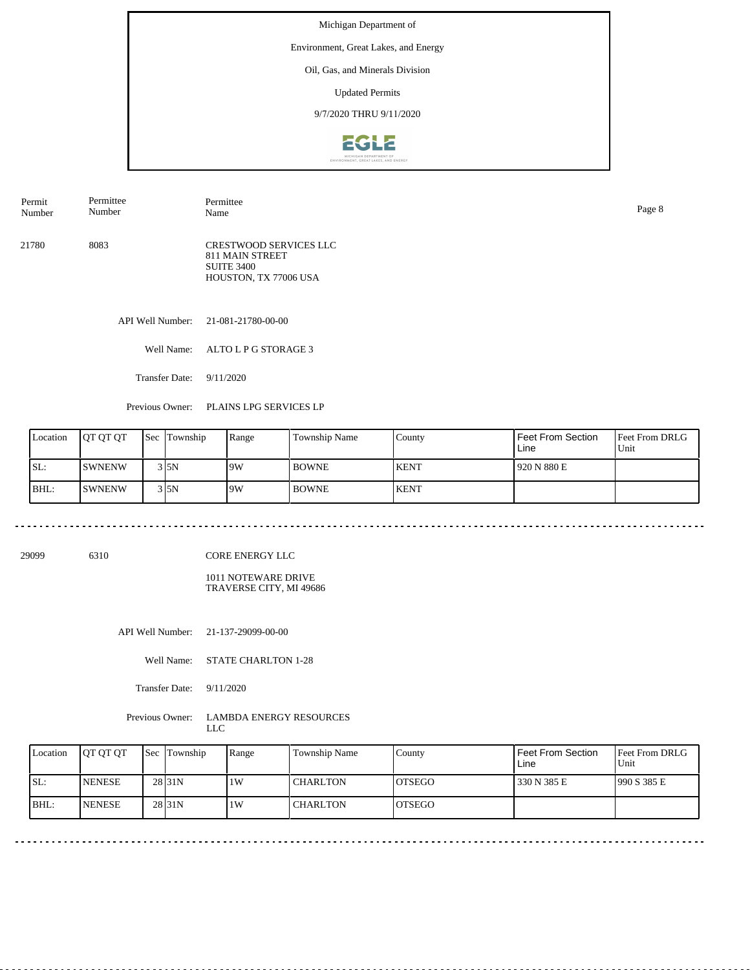Environment, Great Lakes, and Energy

### Oil, Gas, and Minerals Division

Updated Permits

## 9/7/2020 THRU 9/11/2020



| Permit | Permittee | Permittee                                                                                      | Page 8 |
|--------|-----------|------------------------------------------------------------------------------------------------|--------|
| Number | Number    | Name                                                                                           |        |
| 21780  | 8083      | <b>CRESTWOOD SERVICES LLC</b><br>811 MAIN STREET<br><b>SUITE 3400</b><br>HOUSTON, TX 77006 USA |        |

API Well Number: 21-081-21780-00-00

Well Name: ALTO L P G STORAGE 3

Transfer Date: 9/11/2020

Previous Owner: PLAINS LPG SERVICES LP

| Location | <b>JOT OT OT</b> | <b>Sec Township</b> | Range | <b>Township Name</b> | County       | Feet From Section<br>Line | <b>Feet From DRLG</b><br>Unit |
|----------|------------------|---------------------|-------|----------------------|--------------|---------------------------|-------------------------------|
| SL:      | <b>SWNENW</b>    | 3 I 5 N             | 19W   | <b>BOWNE</b>         | <b>IKENT</b> | 920 N 880 E               |                               |
| BHL:     | <b>SWNENW</b>    | $3\,$ 5N            | 9W    | <b>BOWNE</b>         | <b>KENT</b>  |                           |                               |

. . . . . . . . . . . . . . . . . . .

29099 6310

CORE ENERGY LLC

1011 NOTEWARE DRIVE TRAVERSE CITY, MI 49686

API Well Number: 21-137-29099-00-00

Well Name: STATE CHARLTON 1-28

Transfer Date: 9/11/2020

Previous Owner: LAMBDA ENERGY RESOURCES LLC

|      | Location | <b>IOT OT OT</b> | <b>Sec</b> Township | Range | Township Name   | County         | <b>Feet From Section</b><br>Line | <b>Feet From DRLG</b><br>Unit |
|------|----------|------------------|---------------------|-------|-----------------|----------------|----------------------------------|-------------------------------|
| SL:  |          | <b>INENESE</b>   | 28 <sub>31N</sub>   | 1W    | <b>CHARLTON</b> | IOTSEGO        | 330 N 385 E                      | 1990 S 385 E                  |
| BHL: |          | <b>INENESE</b>   | 28 <sub>31N</sub>   | 1W    | <b>CHARLTON</b> | <b>IOTSEGO</b> |                                  |                               |

\_\_\_\_\_\_\_\_\_\_\_\_\_\_\_\_\_\_\_\_\_\_\_\_\_\_\_\_\_\_\_\_\_\_\_\_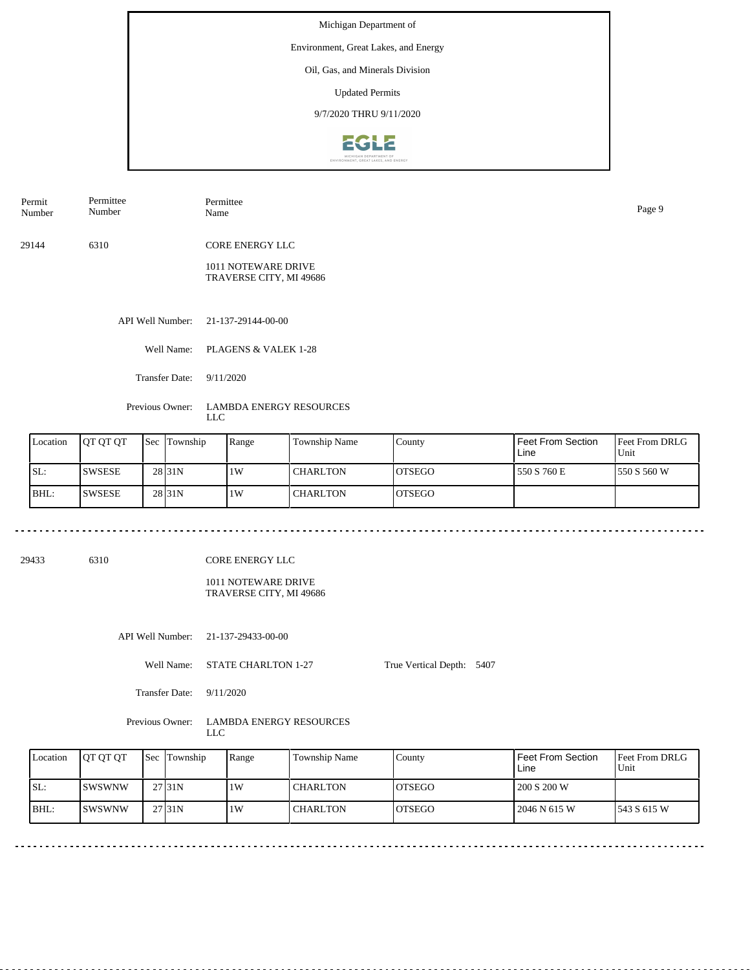Environment, Great Lakes, and Energy

### Oil, Gas, and Minerals Division

Updated Permits

9/7/2020 THRU 9/11/2020



| Permit | Permittee | Permittee       | Page 9 |
|--------|-----------|-----------------|--------|
| Number | Number    | Name            |        |
| 29144  | 6310      | CORE ENERGY LLC |        |

1011 NOTEWARE DRIVE TRAVERSE CITY, MI 49686

API Well Number: 21-137-29144-00-00

Well Name: PLAGENS & VALEK 1-28

Transfer Date: 9/11/2020

Previous Owner: LAMBDA ENERGY RESOURCES LLC

| Location | <b>IOT OT OT</b> | <b>Sec Township</b> | Range | <b>Township Name</b> | County         | l Feet From Section_<br>Line | <b>Feet From DRLG</b><br>Unit |
|----------|------------------|---------------------|-------|----------------------|----------------|------------------------------|-------------------------------|
| SL:      | ISWSESE          | 28 <sub>131</sub> N | 1 W   | <b>CHARLTON</b>      | IOTSEGO        | l 550 S 760 E                | 1550 S 560 W                  |
| BHL:     | <b>ISWSESE</b>   | 28 <sub>31N</sub>   | 1 W   | <b>CHARLTON</b>      | <b>IOTSEGO</b> |                              |                               |

29433 6310

CORE ENERGY LLC

1011 NOTEWARE DRIVE TRAVERSE CITY, MI 49686

API Well Number: 21-137-29433-00-00

Well Name: STATE CHARLTON 1-27 True Vertical Depth: 5407

Transfer Date: 9/11/2020

Previous Owner: LAMBDA ENERGY RESOURCES LLC

| Location | <b>JOT OT OT</b> | <b>Sec Township</b> | Range | Township Name | County         | Feet From Section<br>Line | <b>Feet From DRLG</b><br>Unit |
|----------|------------------|---------------------|-------|---------------|----------------|---------------------------|-------------------------------|
| ISL:     | <b>ISWSWNW</b>   | 27 <sub>131</sub> N | 1W    | l CHARLTON    | IOTSEGO        | 200 S 200 W               |                               |
| $IBHL$ : | ISWSWNW          | 27 <sub>131</sub> N | 1W    | I CHARLTON    | <b>IOTSEGO</b> | 2046 N 615 W              | 1543 S 615 W                  |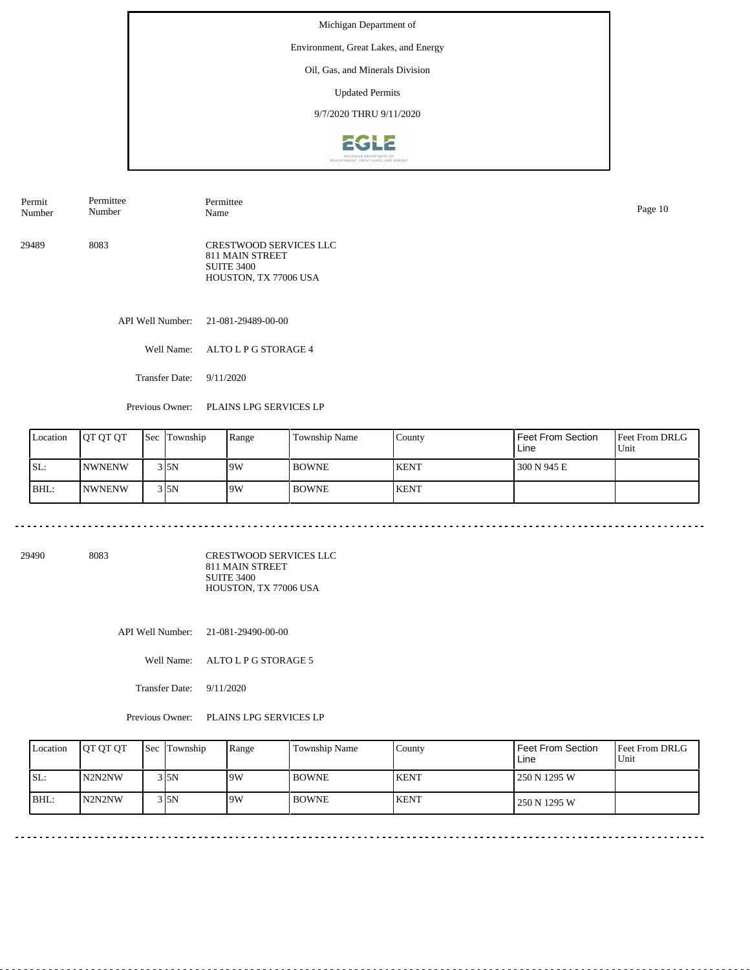Environment, Great Lakes, and Energy

#### Oil, Gas, and Minerals Division

Updated Permits

## 9/7/2020 THRU 9/11/2020



29489 8083 CRESTWOOD SERVICES LLC 811 MAIN STREET SUITE 3400 HOUSTON, TX 77006 USA Permit Number Permittee Number Permittee Name Page 10

API Well Number: 21-081-29489-00-00

Well Name: ALTO L P G STORAGE 4

Transfer Date: 9/11/2020

Previous Owner: PLAINS LPG SERVICES LP

| Location | <b>OT OT OT</b> | <b>Sec Township</b> | Range | Township Name | County      | Feet From Section<br>Line | <b>Feet From DRLG</b><br>Unit |
|----------|-----------------|---------------------|-------|---------------|-------------|---------------------------|-------------------------------|
| SL:      | <b>INWNENW</b>  | 3 I 5 N             | 9W    | <b>BOWNE</b>  | <b>KENT</b> | 300 N 945 E               |                               |
| BHL:     | <b>INWNENW</b>  | $3$ <sub>5N</sub>   | 19W   | <b>BOWNE</b>  | <b>KENT</b> |                           |                               |

<u>. . . . . . . . . . . . . . .</u>

29490 8083

CRESTWOOD SERVICES LLC 811 MAIN STREET SUITE 3400 HOUSTON, TX 77006 USA

API Well Number: 21-081-29490-00-00

Well Name: ALTO L P G STORAGE 5

Transfer Date: 9/11/2020

Previous Owner: PLAINS LPG SERVICES LP

| Location | <b>OT QT QT</b> | <b>Sec</b> Township | Range | Township Name | County      | Feet From Section<br>Line | <b>IFeet From DRLG</b><br>l Unit |
|----------|-----------------|---------------------|-------|---------------|-------------|---------------------------|----------------------------------|
| SL:      | N2N2NW          | 3 I 5 N             | 19W   | <b>BOWNE</b>  | <b>KENT</b> | 250 N 1295 W              |                                  |
| BHL:     | N2N2NW          | 3 5N                | 19W   | <b>BOWNE</b>  | <b>KENT</b> | 250 N 1295 W              |                                  |

. . . . . . . . . . . . . .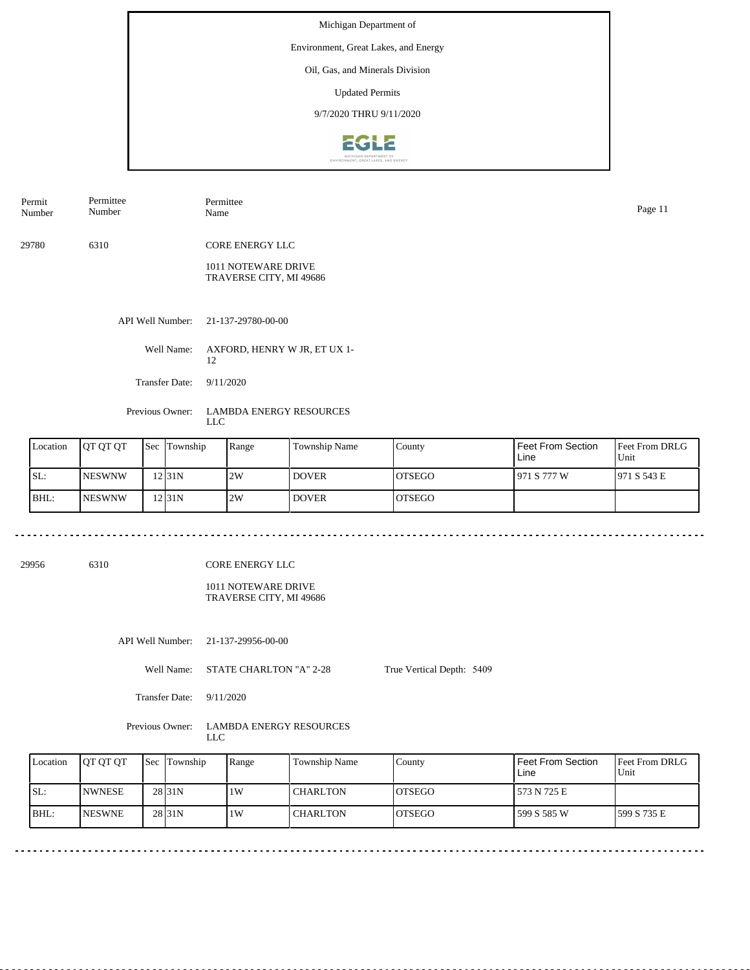Environment, Great Lakes, and Energy

### Oil, Gas, and Minerals Division

Updated Permits

9/7/2020 THRU 9/11/2020



| Permit | Permittee | Permittee | Page 11 |
|--------|-----------|-----------|---------|
| Number | Number    | Name      |         |
|        |           |           |         |

29780 6310 CORE ENERGY LLC

> 1011 NOTEWARE DRIVE TRAVERSE CITY, MI 49686

API Well Number: 21-137-29780-00-00

Well Name: AXFORD, HENRY W JR, ET UX 1- 12

Transfer Date: 9/11/2020

Previous Owner: LAMBDA ENERGY RESOURCES LLC

| Location | <b>IOT OT OT</b> | <b>Sec</b> Township | Range | Township Name | County         | <b>Feet From Section</b><br>Line | Feet From DRLG<br>Unit |
|----------|------------------|---------------------|-------|---------------|----------------|----------------------------------|------------------------|
| SL:      | <b>INESWNW</b>   | 12 31 N             | 2W    | <b>DOVER</b>  | <b>IOTSEGO</b> | 1971 S 777 W                     | 1971 S 543 E           |
| BHL:     | INESWNW          | $12$ [31N]          | 2W    | <b>DOVER</b>  | <b>IOTSEGO</b> |                                  |                        |

29956 6310

CORE ENERGY LLC

1011 NOTEWARE DRIVE TRAVERSE CITY, MI 49686

API Well Number: 21-137-29956-00-00

Well Name: STATE CHARLTON "A" 2-28 True Vertical Depth: 5409

Transfer Date: 9/11/2020

Previous Owner: LAMBDA ENERGY RESOURCES LLC

| Location | <b>IOT OT OT</b> | <b>Sec Township</b> | Range | l Township Name | County         | l Feet From Section<br>Line | <b>IFeet From DRLG</b><br>Unit |
|----------|------------------|---------------------|-------|-----------------|----------------|-----------------------------|--------------------------------|
| ISL:     | <b>INWNESE</b>   | 28 <sub>131</sub> N | 1W    | <b>CHARLTON</b> | <b>IOTSEGO</b> | 573 N 725 E                 |                                |
| IBHL:    | <b>INESWNE</b>   | 28 <sub>131</sub> N | 1W    | <b>CHARLTON</b> | <b>IOTSEGO</b> | l 599 S 585 W               | 1599 S 735 E                   |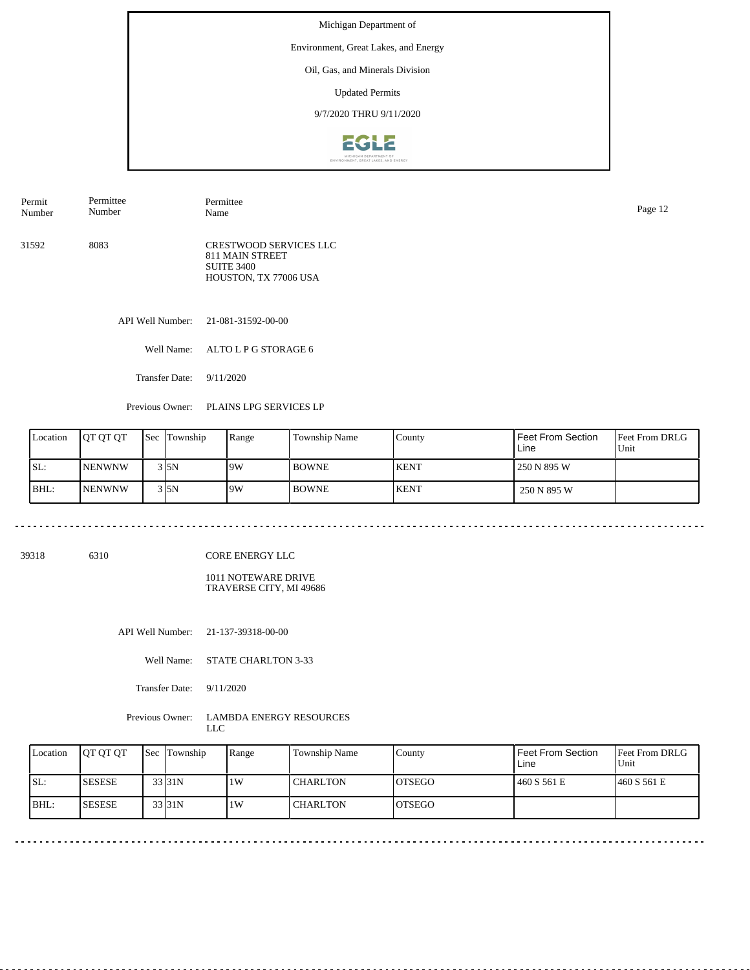Environment, Great Lakes, and Energy

### Oil, Gas, and Minerals Division

Updated Permits

## 9/7/2020 THRU 9/11/2020



| Permit | Permittee | Permittee                                                                               | Page 12 |
|--------|-----------|-----------------------------------------------------------------------------------------|---------|
| Number | Number    | Name                                                                                    |         |
| 31592  | 8083      | CRESTWOOD SERVICES LLC<br>811 MAIN STREET<br><b>SUITE 3400</b><br>HOUSTON, TX 77006 USA |         |

API Well Number: 21-081-31592-00-00

Well Name: ALTO L P G STORAGE 6

Transfer Date: 9/11/2020

Previous Owner: PLAINS LPG SERVICES LP

| Location | <b>IOT OT OT</b> | <b>Sec</b> Township | Range | Township Name | County      | <b>Feet From Section</b><br>Line | <b>Feet From DRLG</b><br>Unit |
|----------|------------------|---------------------|-------|---------------|-------------|----------------------------------|-------------------------------|
| SL:      | <b>INENWNW</b>   | 3 I 5 N             | 9W    | <b>BOWNE</b>  | <b>KENT</b> | 250 N 895 W                      |                               |
| BHL:     | <b>INENWNW</b>   | 3 I 5 N             | 9W    | <b>BOWNE</b>  | <b>KENT</b> | 250 N 895 W                      |                               |

. . . . . . . . . . . . . .

39318 6310

CORE ENERGY LLC

1011 NOTEWARE DRIVE TRAVERSE CITY, MI 49686

API Well Number: 21-137-39318-00-00

Well Name: STATE CHARLTON 3-33

Transfer Date: 9/11/2020

Previous Owner: LAMBDA ENERGY RESOURCES LLC

| Location | <b>IOT OT OT</b> | <b>Sec</b> Township | Range | Township Name   | County         | <b>Feet From Section</b><br>Line | <b>Feet From DRLG</b><br>Unit |
|----------|------------------|---------------------|-------|-----------------|----------------|----------------------------------|-------------------------------|
| SL:      | <b>SESESE</b>    | 33 <sub>131</sub> N | 1W    | <b>CHARLTON</b> | IOTSEGO        | 460 S 561 E                      | 1460 S 561 E                  |
| BHL:     | <b>SESESE</b>    | 33 31N              | 1W    | <b>CHARLTON</b> | <b>IOTSEGO</b> |                                  |                               |